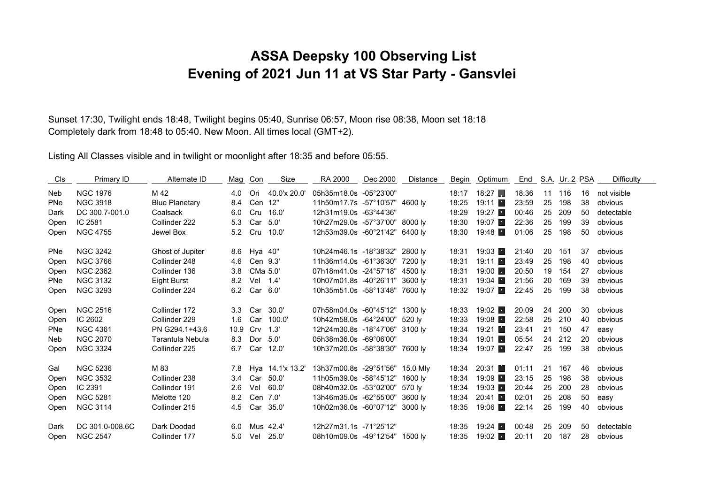## **ASSA Deepsky 100 Observing List Evening of 2021 Jun 11 at VS Star Party - Gansvlei**

Sunset 17:30, Twilight ends 18:48, Twilight begins 05:40, Sunrise 06:57, Moon rise 08:38, Moon set 18:18 Completely dark from 18:48 to 05:40. New Moon. All times local (GMT+2).

Listing All Classes visible and in twilight or moonlight after 18:35 and before 05:55.

| Cls        | Primary ID      | Alternate ID          |                  | Mag Con  | Size             | RA 2000                         | Dec 2000 | <b>Distance</b> | Begin | Optimum                | End   |    | S.A. Ur. 2 PSA |    | Difficulty  |
|------------|-----------------|-----------------------|------------------|----------|------------------|---------------------------------|----------|-----------------|-------|------------------------|-------|----|----------------|----|-------------|
| Neb        | <b>NGC 1976</b> | M 42                  | 4.0              | Ori      | 40.0'x 20.0'     | 05h35m18.0s -05°23'00"          |          |                 | 18:17 | $18:27$ $\blacksquare$ | 18:36 | 11 | 116            | 16 | not visible |
| <b>PNe</b> | <b>NGC 3918</b> | <b>Blue Planetary</b> | 8.4              | Cen 12"  |                  | 11h50m17.7s -57°10'57" 4600 ly  |          |                 | 18:25 | 19:11                  | 23:59 | 25 | 198            | 38 | obvious     |
| Dark       | DC 300.7-001.0  | Coalsack              | 6.0              | Cru      | 16.0'            | 12h31m19.0s -63°44'36"          |          |                 | 18:29 | $19:27$ $\blacksquare$ | 00:46 | 25 | 209            | 50 | detectable  |
| Open       | IC 2581         | Collinder 222         | 5.3              | Car 5.0' |                  | 10h27m29.0s -57°37'00" 8000 ly  |          |                 | 18:30 | $19:07$ $\blacksquare$ | 22:36 | 25 | 199            | 39 | obvious     |
| Open       | <b>NGC 4755</b> | Jewel Box             | 5.2              | Cru      | 10.0'            | 12h53m39.0s -60°21'42" 6400 ly  |          |                 | 18:30 | 19:48                  | 01:06 | 25 | 198            | 50 | obvious     |
| <b>PNe</b> | <b>NGC 3242</b> | Ghost of Jupiter      | 8.6              | Hya 40"  |                  | 10h24m46.1s -18°38'32" 2800 ly  |          |                 | 18:31 | 19:03                  | 21:40 | 20 | 151            | 37 | obvious     |
| Open       | <b>NGC 3766</b> | Collinder 248         | 4.6              | Cen 9.3' |                  | 11h36m14.0s -61°36'30" 7200 lv  |          |                 | 18:31 | 19:11                  | 23:49 | 25 | 198            | 40 | obvious     |
| Open       | <b>NGC 2362</b> | Collinder 136         | 3.8              | CMa 5.0' |                  | 07h18m41.0s -24°57'18" 4500 lv  |          |                 | 18:31 | 19:00                  | 20:50 | 19 | 154            | 27 | obvious     |
| <b>PNe</b> | <b>NGC 3132</b> | Eight Burst           | 8.2              | Vel 1.4' |                  | 10h07m01.8s -40°26'11" 3600 ly  |          |                 | 18:31 | 19:04                  | 21:56 | 20 | 169            | 39 | obvious     |
| Open       | <b>NGC 3293</b> | Collinder 224         | 6.2              | Car 6.0' |                  | 10h35m51.0s -58°13'48" 7600 ly  |          |                 | 18:32 | 19:07                  | 22:45 | 25 | 199            | 38 | obvious     |
| Open       | <b>NGC 2516</b> | Collinder 172         | 3.3 <sub>1</sub> | Car      | 30.0'            | 07h58m04.0s -60°45'12" 1300 ly  |          |                 | 18:33 | $19:02$ $\blacksquare$ | 20:09 | 24 | 200            | 30 | obvious     |
| Open       | IC 2602         | Collinder 229         | 1.6              | Car      | 100.0'           | 10h42m58.0s -64°24'00" 520 ly   |          |                 | 18:33 | 19:08                  | 22:58 | 25 | 210            | 40 | obvious     |
| <b>PNe</b> | <b>NGC 4361</b> | PN G294.1+43.6        | 10.9             | Crv      | 1.3'             | 12h24m30.8s -18°47'06" 3100 ly  |          |                 | 18:34 | 19:21 ■                | 23:41 | 21 | 150            | 47 | easy        |
| Neb        | <b>NGC 2070</b> | Tarantula Nebula      | 8.3              | Dor      | 5.0'             | 05h38m36.0s -69°06'00"          |          |                 | 18:34 | 19:01                  | 05:54 | 24 | 212            | 20 | obvious     |
| Open       | <b>NGC 3324</b> | Collinder 225         | 6.7              | Car      | 12.0'            | 10h37m20.0s -58°38'30" 7600 ly  |          |                 | 18:34 | 19:07                  | 22:47 | 25 | 199            | 38 | obvious     |
| Gal        | <b>NGC 5236</b> | M 83                  | 7.8              |          | Hya 14.1'x 13.2' | 13h37m00.8s -29°51'56" 15.0 Mly |          |                 | 18:34 | 20:31                  | 01:11 | 21 | 167            | 46 | obvious     |
| Open       | <b>NGC 3532</b> | Collinder 238         | 3.4              |          | Car 50.0'        | 11h05m39.0s -58°45'12"          |          | 1600 lv         | 18:34 | $19:09$ $\blacksquare$ | 23:15 | 25 | 198            | 38 | obvious     |
| Open       | IC 2391         | Collinder 191         | 2.6              | Vel      | 60.0'            | 08h40m32.0s -53°02'00" 570 ly   |          |                 | 18:34 | 19:03                  | 20:44 | 25 | 200            | 28 | obvious     |
| Open       | <b>NGC 5281</b> | Melotte 120           | 8.2              | Cen 7.0' |                  | 13h46m35.0s -62°55'00" 3600 ly  |          |                 | 18:34 | 20:41                  | 02:01 | 25 | 208            | 50 | easy        |
| Open       | <b>NGC 3114</b> | Collinder 215         | 4.5              | Car      | 35.0'            | 10h02m36.0s -60°07'12" 3000 ly  |          |                 | 18:35 | $19:06$ $\blacksquare$ | 22:14 | 25 | 199            | 40 | obvious     |
| Dark       | DC 301.0-008.6C | Dark Doodad           | 6.0              |          | Mus 42.4'        | 12h27m31.1s -71°25'12"          |          |                 | 18:35 | $19:24$ $\blacksquare$ | 00:48 | 25 | 209            | 50 | detectable  |
| Open       | <b>NGC 2547</b> | Collinder 177         | 5.0              | Vel      | 25.0'            | 08h10m09.0s -49°12'54" 1500 ly  |          |                 | 18:35 | 19:02                  | 20:11 | 20 | 187            | 28 | obvious     |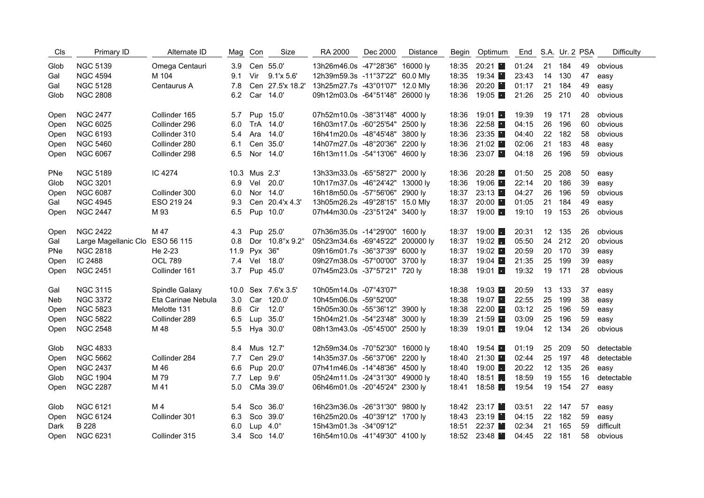| Cls        | Primary ID                      | Alternate ID       | Mag Con |               | Size                | RA 2000                          | Dec 2000 | Distance | Begin | Optimum                |       |    | End S.A. Ur. 2 PSA |    | <b>Difficulty</b> |
|------------|---------------------------------|--------------------|---------|---------------|---------------------|----------------------------------|----------|----------|-------|------------------------|-------|----|--------------------|----|-------------------|
| Glob       | <b>NGC 5139</b>                 | Omega Centauri     | 3.9     |               | Cen 55.0'           | 13h26m46.0s -47°28'36" 16000 ly  |          |          | 18:35 | 20:21                  | 01:24 | 21 | 184                | 49 | obvious           |
| Gal        | <b>NGC 4594</b>                 | M 104              | 9.1     |               | Vir 9.1'x 5.6'      | 12h39m59.3s -11°37'22" 60.0 Mly  |          |          | 18:35 | 19:34 ■                | 23:43 |    | 14 130             | 47 | easy              |
| Gal        | <b>NGC 5128</b>                 | Centaurus A        | 7.8     |               | Cen 27.5'x 18.2'    | 13h25m27.7s -43°01'07" 12.0 Mly  |          |          | 18:36 | 20:20                  | 01:17 | 21 | 184                | 49 | easy              |
| Glob       | <b>NGC 2808</b>                 |                    | 6.2     |               | Car 14.0'           | 09h12m03.0s -64°51'48" 26000 ly  |          |          | 18:36 | 19:05                  | 21:26 | 25 | 210                | 40 | obvious           |
| Open       | <b>NGC 2477</b>                 | Collinder 165      | 5.7     |               | Pup 15.0'           | 07h52m10.0s -38°31'48" 4000 ly   |          |          | 18:36 | -19:01 <b>F</b>        | 19:39 | 19 | 171                | 28 | obvious           |
| Open       | <b>NGC 6025</b>                 | Collinder 296      | 6.0     |               | TrA 14.0'           | 16h03m17.0s -60°25'54" 2500 ly   |          |          | 18:36 | 22:58                  | 04:15 | 26 | 196                | 60 | obvious           |
| Open       | <b>NGC 6193</b>                 | Collinder 310      | 5.4     | Ara           | 14.0'               | 16h41m20.0s -48°45'48" 3800 ly   |          |          | 18:36 | 23:35                  | 04:40 | 22 | 182                | 58 | obvious           |
| Open       | <b>NGC 5460</b>                 | Collinder 280      | 6.1     |               | Cen 35.0'           | 14h07m27.0s -48°20'36" 2200 ly   |          |          | 18:36 | 21:02 $\blacksquare$   | 02:06 | 21 | 183                | 48 | easy              |
| Open       | <b>NGC 6067</b>                 | Collinder 298      | 6.5     |               | Nor 14.0'           | 16h13m11.0s -54°13'06" 4600 ly   |          |          | 18:36 | 23:07 ■                | 04:18 | 26 | 196                | 59 | obvious           |
| <b>PNe</b> | <b>NGC 5189</b>                 | IC 4274            |         | 10.3 Mus 2.3' |                     | 13h33m33.0s -65°58'27" 2000 ly   |          |          | 18:36 | 20:28                  | 01:50 | 25 | 208                | 50 | easy              |
| Glob       | <b>NGC 3201</b>                 |                    | 6.9     | Vel           | 20.0'               | 10h17m37.0s -46°24'42" 13000 ly  |          |          | 18:36 | 19:06                  | 22:14 | 20 | 186                | 39 | easy              |
| Open       | <b>NGC 6087</b>                 | Collinder 300      | 6.0     |               | Nor 14.0'           | 16h18m50.0s -57°56'06" 2900 ly   |          |          | 18:37 | 23:13                  | 04:27 | 26 | 196                | 59 | obvious           |
| Gal        | <b>NGC 4945</b>                 | ESO 219 24         | 9.3     |               | Cen 20.4'x 4.3'     | 13h05m26.2s -49°28'15" 15.0 Mly  |          |          | 18:37 | 20:00                  | 01:05 | 21 | 184                | 49 | easy              |
| Open       | <b>NGC 2447</b>                 | M 93               | 6.5     |               | Pup 10.0'           | 07h44m30.0s -23°51'24" 3400 ly   |          |          | 18:37 | $19:00$ $\blacksquare$ | 19:10 |    | 19 153             | 26 | obvious           |
| Open       | <b>NGC 2422</b>                 | M 47               | 4.3     |               | Pup 25.0'           | 07h36m35.0s -14°29'00" 1600 ly   |          |          | 18:37 | $19:00$ $\blacksquare$ | 20:31 |    | 12 135             | 26 | obvious           |
| Gal        | Large Magellanic Clo ESO 56 115 |                    | 0.8     |               | Dor 10.8°x 9.2°     | 05h23m34.6s -69°45'22" 200000 ly |          |          | 18:37 | 19:02 $\blacksquare$   | 05:50 | 24 | 212                | 20 | obvious           |
| <b>PNe</b> | <b>NGC 2818</b>                 | He 2-23            |         | 11.9 Pyx 36"  |                     | 09h16m01.7s -36°37'39" 6000 ly   |          |          | 18:37 | 19:02                  | 20:59 |    | 20 170             | 39 | easy              |
| Open       | IC 2488                         | <b>OCL 789</b>     | 7.4     |               | Vel 18.0'           | 09h27m38.0s -57°00'00" 3700 ly   |          |          | 18:37 | 19:04                  | 21:35 | 25 | 199                | 39 | easy              |
| Open       | <b>NGC 2451</b>                 | Collinder 161      | 3.7     |               | Pup 45.0'           | 07h45m23.0s -37°57'21" 720 ly    |          |          | 18:38 | 19:01 ■                | 19:32 | 19 | 171                | 28 | obvious           |
| Gal        | <b>NGC 3115</b>                 | Spindle Galaxy     |         |               | 10.0 Sex 7.6'x 3.5' | 10h05m14.0s -07°43'07"           |          |          | 18:38 | 19:03                  | 20:59 | 13 | 133                | 37 | easy              |
| Neb        | <b>NGC 3372</b>                 | Eta Carinae Nebula | 3.0     |               | Car 120.0'          | 10h45m06.0s -59°52'00"           |          |          | 18:38 | 19:07                  | 22:55 | 25 | 199                | 38 | easy              |
| Open       | <b>NGC 5823</b>                 | Melotte 131        | 8.6     | Cir           | 12.0'               | 15h05m30.0s -55°36'12" 3900 ly   |          |          | 18:38 | 22:00                  | 03:12 | 25 | 196                | 59 | easy              |
| Open       | <b>NGC 5822</b>                 | Collinder 289      | 6.5     |               | Lup 35.0'           | 15h04m21.0s -54°23'48" 3000 ly   |          |          | 18:39 | 21:59                  | 03:09 | 25 | 196                | 59 | easy              |
| Open       | <b>NGC 2548</b>                 | M 48               | 5.5     |               | Hya 30.0'           | 08h13m43.0s -05°45'00" 2500 ly   |          |          | 18:39 | 19:01 $\blacksquare$   | 19:04 | 12 | 134                | 26 | obvious           |
| Glob       | <b>NGC 4833</b>                 |                    | 8.4     |               | Mus 12.7'           | 12h59m34.0s -70°52'30" 16000 ly  |          |          | 18:40 | $19:54$ $\blacksquare$ | 01:19 | 25 | 209                | 50 | detectable        |
| Open       | <b>NGC 5662</b>                 | Collinder 284      | 7.7     |               | Cen 29.0'           | 14h35m37.0s -56°37'06" 2200 ly   |          |          | 18:40 | 21:30 ■                | 02:44 | 25 | 197                | 48 | detectable        |
| Open       | <b>NGC 2437</b>                 | M 46               | 6.6     |               | Pup 20.0'           | 07h41m46.0s -14°48'36" 4500 ly   |          |          | 18:40 | $19:00$ $\Box$         | 20:22 | 12 | 135                | 26 | easy              |
| Glob       | <b>NGC 1904</b>                 | M 79               | 7.7     | Lep 9.6'      |                     | 05h24m11.0s -24°31'30" 49000 ly  |          |          | 18:40 | $18:51$ $\blacksquare$ | 18:59 | 19 | 155                | 16 | detectable        |
| Open       | <b>NGC 2287</b>                 | M 41               | 5.0     |               | CMa 39.0'           | 06h46m01.0s -20°45'24" 2300 ly   |          |          | 18:41 | 18:58                  | 19:54 | 19 | 154                | 27 | easy              |
| Glob       | <b>NGC 6121</b>                 | M <sub>4</sub>     | 5.4     |               | Sco 36.0'           | 16h23m36.0s -26°31'30" 9800 ly   |          |          |       | 18:42 23:17            | 03:51 |    | 22 147             | 57 | easy              |
| Open       | <b>NGC 6124</b>                 | Collinder 301      | 6.3     |               | Sco 39.0'           | 16h25m20.0s -40°39'12" 1700 ly   |          |          | 18:43 | 23:19                  | 04:15 | 22 | 182                | 59 | easy              |
| Dark       | <b>B</b> 228                    |                    | 6.0     |               | Lup $4.0^\circ$     | 15h43m01.3s -34°09'12"           |          |          | 18:51 | 22:37                  | 02:34 | 21 | 165                | 59 | difficult         |
| Open       | <b>NGC 6231</b>                 | Collinder 315      | 3.4     |               | Sco 14.0'           | 16h54m10.0s -41°49'30" 4100 lv   |          |          | 18:52 | 23:48                  | 04:45 |    | 22 181             | 58 | obvious           |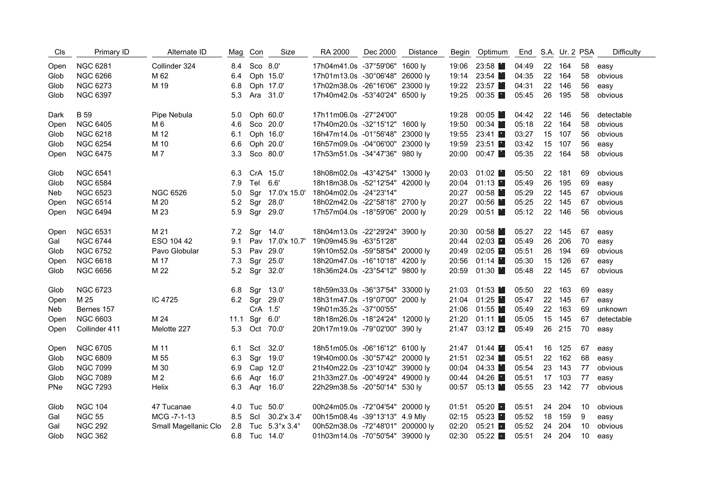| Cls  | Primary ID      | Alternate ID         |     | Mag Con      | Size                        | RA 2000                          | Dec 2000 | <b>Distance</b> | Begin | Optimum                |       |    | End S.A. Ur. 2 PSA |    | <b>Difficulty</b> |
|------|-----------------|----------------------|-----|--------------|-----------------------------|----------------------------------|----------|-----------------|-------|------------------------|-------|----|--------------------|----|-------------------|
| Open | <b>NGC 6281</b> | Collinder 324        |     | 8.4 Sco 8.0' |                             | 17h04m41.0s -37°59'06" 1600 ly   |          |                 |       | 19:06 23:58            | 04:49 |    | 22 164             | 58 | easy              |
| Glob | <b>NGC 6266</b> | M 62                 | 6.4 |              | Oph 15.0'                   | 17h01m13.0s -30°06'48" 26000 ly  |          |                 | 19:14 | 23:54                  | 04:35 | 22 | 164                | 58 | obvious           |
| Glob | <b>NGC 6273</b> | M 19                 | 6.8 |              | Oph 17.0'                   | 17h02m38.0s -26°16'06" 23000 ly  |          |                 |       | 19:22 23:57            | 04:31 | 22 | 146                | 56 | easy              |
| Glob | <b>NGC 6397</b> |                      | 5.3 |              | Ara 31.0'                   | 17h40m42.0s -53°40'24" 6500 ly   |          |                 | 19:25 | 00:35                  | 05:45 | 26 | 195                | 58 | obvious           |
| Dark | <b>B</b> 59     | Pipe Nebula          | 5.0 |              | Oph 60.0'                   | 17h11m06.0s -27°24'00"           |          |                 | 19:28 | 00:05                  | 04:42 | 22 | 146                | 56 | detectable        |
| Open | <b>NGC 6405</b> | M 6                  | 4.6 |              | Sco 20.0'                   | 17h40m20.0s -32°15'12" 1600 ly   |          |                 | 19:50 | 00:34                  | 05:18 | 22 | 164                | 58 | obvious           |
| Glob | <b>NGC 6218</b> | M 12                 | 6.1 |              | Oph 16.0'                   | 16h47m14.0s -01°56'48" 23000 ly  |          |                 | 19:55 | 23:41                  | 03:27 | 15 | 107                | 56 | obvious           |
| Glob | <b>NGC 6254</b> | M 10                 | 6.6 |              | Oph 20.0'                   | 16h57m09.0s -04°06'00" 23000 ly  |          |                 | 19:59 | 23:51                  | 03:42 | 15 | 107                | 56 | easy              |
| Open | <b>NGC 6475</b> | M 7                  | 3.3 |              | Sco 80.0'                   | 17h53m51.0s -34°47'36" 980 ly    |          |                 | 20:00 | 00:47                  | 05:35 | 22 | 164                | 58 | obvious           |
| Glob | <b>NGC 6541</b> |                      | 6.3 |              | CrA 15.0'                   | 18h08m02.0s -43°42'54" 13000 ly  |          |                 | 20:03 | 01:02                  | 05:50 | 22 | 181                | 69 | obvious           |
| Glob | <b>NGC 6584</b> |                      | 7.9 | Tel          | 6.6'                        | 18h18m38.0s -52°12'54" 42000 ly  |          |                 | 20:04 | 01:13                  | 05:49 | 26 | 195                | 69 | easy              |
| Neb  | <b>NGC 6523</b> | <b>NGC 6526</b>      | 5.0 |              | Sgr 17.0'x 15.0'            | 18h04m02.0s -24°23'14"           |          |                 | 20:27 | 00:58                  | 05:29 | 22 | 145                | 67 | obvious           |
| Open | <b>NGC 6514</b> | M 20                 | 5.2 | Sgr          | 28.0'                       | 18h02m42.0s -22°58'18" 2700 ly   |          |                 | 20:27 | 00:56                  | 05:25 |    | 22 145             | 67 | obvious           |
| Open | <b>NGC 6494</b> | M 23                 | 5.9 |              | Sgr 29.0'                   | 17h57m04.0s -18°59'06" 2000 ly   |          |                 | 20:29 | 00:51                  | 05:12 |    | 22 146             | 56 | obvious           |
| Open | <b>NGC 6531</b> | M 21                 |     |              | 7.2 Sgr 14.0'               | 18h04m13.0s -22°29'24" 3900 ly   |          |                 | 20:30 | 00:58                  | 05:27 |    | 22 145             | 67 | easy              |
| Gal  | <b>NGC 6744</b> | ESO 104 42           | 9.1 |              | Pav 17.0'x 10.7'            | 19h09m45.9s -63°51'28"           |          |                 | 20:44 | 02:03                  | 05:49 | 26 | 206                | 70 | easy              |
| Glob | <b>NGC 6752</b> | Pavo Globular        | 5.3 |              | Pav 29.0'                   | 19h10m52.0s -59°58'54" 20000 ly  |          |                 | 20:49 | 02:05                  | 05:51 | 26 | 194                | 69 | obvious           |
| Open | <b>NGC 6618</b> | M 17                 | 7.3 | Sgr          | 25.0'                       | 18h20m47.0s -16°10'18" 4200 ly   |          |                 | 20:56 | 01:14                  | 05:30 | 15 | 126                | 67 | easy              |
| Glob | <b>NGC 6656</b> | M 22                 | 5.2 |              | Sgr 32.0'                   | 18h36m24.0s -23°54'12" 9800 ly   |          |                 | 20:59 | 01:30                  | 05:48 |    | 22 145             | 67 | obvious           |
| Glob | <b>NGC 6723</b> |                      | 6.8 |              | Sgr 13.0'                   | 18h59m33.0s -36°37'54" 33000 ly  |          |                 | 21:03 | 01:53                  | 05:50 | 22 | 163                | 69 | easy              |
| Open | M 25            | IC 4725              |     |              | 6.2 Sgr 29.0'               | 18h31m47.0s -19°07'00" 2000 ly   |          |                 |       | 21:04 01:25            | 05:47 | 22 | 145                | 67 | easy              |
| Neb  | Bernes 157      |                      |     |              | CrA 1.5'                    | 19h01m35.2s -37°00'55"           |          |                 |       | 21:06 01:55            | 05:49 | 22 | 163                | 69 | unknown           |
| Open | <b>NGC 6603</b> | M 24                 |     | 11.1 Sgr     | 6.0'                        | 18h18m26.0s -18°24'24" 12000 ly  |          |                 | 21:20 | 01:11                  | 05:05 | 15 | 145                | 67 | detectable        |
| Open | Collinder 411   | Melotte 227          | 5.3 |              | Oct 70.0'                   | 20h17m19.0s -79°02'00" 390 ly    |          |                 |       | 21:47 03:12            | 05:49 |    | 26 215             | 70 | easy              |
| Open | <b>NGC 6705</b> | M 11                 | 6.1 |              | Sct 32.0'                   | 18h51m05.0s -06°16'12" 6100 ly   |          |                 |       | 21:47 01:44            | 05:41 |    | 16 125             | 67 | easy              |
| Glob | <b>NGC 6809</b> | M 55                 | 6.3 |              | Sgr 19.0'                   | 19h40m00.0s -30°57'42" 20000 ly  |          |                 | 21:51 | 02:34                  | 05:51 | 22 | 162                | 68 | easy              |
| Glob | <b>NGC 7099</b> | M 30                 | 6.9 |              | Cap 12.0'                   | 21h40m22.0s -23°10'42" 39000 ly  |          |                 | 00:04 | 04:33                  | 05:54 | 23 | 143                | 77 | obvious           |
| Glob | <b>NGC 7089</b> | M 2                  | 6.6 | Aqr          | 16.0'                       | 21h33m27.0s -00°49'24" 49000 ly  |          |                 | 00:44 | 04:26                  | 05:51 | 17 | 103                | 77 | easy              |
| PNe  | <b>NGC 7293</b> | Helix                | 6.3 |              | Agr 16.0'                   | 22h29m38.5s -20°50'14" 530 ly    |          |                 | 00:57 | 05:13                  | 05:55 | 23 | 142                | 77 | obvious           |
| Glob | <b>NGC 104</b>  | 47 Tucanae           | 4.0 |              | Tuc 50.0'                   | 00h24m05.0s -72°04'54" 20000 ly  |          |                 | 01:51 | 05:20                  | 05:51 | 24 | 204                | 10 | obvious           |
| Gal  | <b>NGC 55</b>   | MCG-7-1-13           | 8.5 |              | Scl 30.2'x 3.4'             | 00h15m08.4s -39°13'13" 4.9 Mly   |          |                 | 02:15 | 05:23                  | 05:52 | 18 | 159                | 9  | easy              |
| Gal  | <b>NGC 292</b>  | Small Magellanic Clo | 2.8 |              | Tuc $5.3^\circ x 3.4^\circ$ | 00h52m38.0s -72°48'01" 200000 ly |          |                 | 02:20 | 05:21                  | 05:52 | 24 | 204                | 10 | obvious           |
| Glob | <b>NGC 362</b>  |                      | 6.8 |              | Tuc 14.0'                   | 01h03m14.0s -70°50'54" 39000 lv  |          |                 | 02:30 | $05:22$ $\blacksquare$ | 05:51 |    | 24 204             | 10 | easy              |